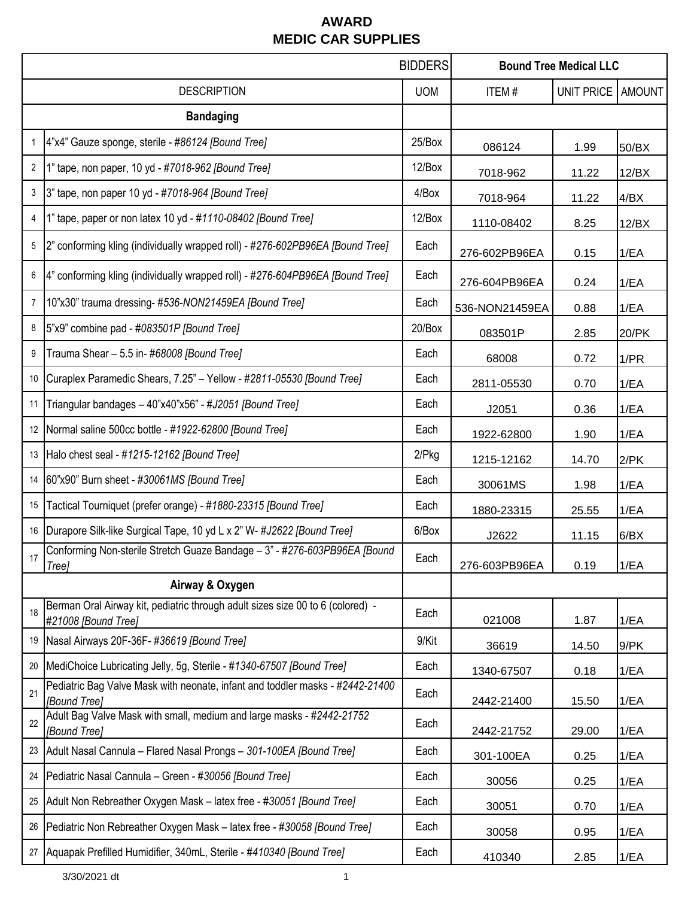|                    |                                                                                                       | <b>BIDDERS</b> | <b>Bound Tree Medical LLC</b> |                   |               |
|--------------------|-------------------------------------------------------------------------------------------------------|----------------|-------------------------------|-------------------|---------------|
| <b>DESCRIPTION</b> |                                                                                                       | <b>UOM</b>     | ITEM#                         | <b>UNIT PRICE</b> | <b>AMOUNT</b> |
|                    | <b>Bandaging</b>                                                                                      |                |                               |                   |               |
| 1                  | 4"x4" Gauze sponge, sterile - #86124 [Bound Tree]                                                     | 25/Box         | 086124                        | 1.99              | 50/BX         |
| 2                  | 1" tape, non paper, 10 yd - #7018-962 [Bound Tree]                                                    | 12/Box         | 7018-962                      | 11.22             | 12/BX         |
| 3                  | 3" tape, non paper 10 yd - #7018-964 [Bound Tree]                                                     | 4/Box          | 7018-964                      | 11.22             | 4/BX          |
| 4                  | 1" tape, paper or non latex 10 yd - #1110-08402 [Bound Tree]                                          | 12/Box         | 1110-08402                    | 8.25              | 12/BX         |
| 5                  | 2" conforming kling (individually wrapped roll) - #276-602PB96EA [Bound Tree]                         | Each           | 276-602PB96EA                 | 0.15              | 1/EA          |
| 6                  | 4" conforming kling (individually wrapped roll) - #276-604PB96EA [Bound Tree]                         | Each           | 276-604PB96EA                 | 0.24              | 1/EA          |
| 7                  | 10"x30" trauma dressing- #536-NON21459EA [Bound Tree]                                                 | Each           | 536-NON21459EA                | 0.88              | 1/EA          |
| 8                  | 5"x9" combine pad - #083501P [Bound Tree]                                                             | 20/Box         | 083501P                       | 2.85              | 20/PK         |
| 9                  | Trauma Shear - 5.5 in- #68008 [Bound Tree]                                                            | Each           | 68008                         | 0.72              | 1/PR          |
| 10                 | Curaplex Paramedic Shears, 7.25" - Yellow - #2811-05530 [Bound Tree]                                  | Each           | 2811-05530                    | 0.70              | 1/EA          |
| 11                 | Triangular bandages - 40"x40"x56" - #J2051 [Bound Tree]                                               | Each           | J2051                         | 0.36              | 1/EA          |
| 12                 | Normal saline 500cc bottle - #1922-62800 [Bound Tree]                                                 | Each           | 1922-62800                    | 1.90              | 1/EA          |
| 13                 | Halo chest seal - #1215-12162 [Bound Tree]                                                            | $2$ / $Pkg$    | 1215-12162                    | 14.70             | $2$ /PK       |
| 14                 | 60"x90" Burn sheet - #30061MS [Bound Tree]                                                            | Each           | 30061MS                       | 1.98              | 1/EA          |
| 15                 | Tactical Tourniquet (prefer orange) - #1880-23315 [Bound Tree]                                        | Each           | 1880-23315                    | 25.55             | 1/EA          |
| 16                 | Durapore Silk-like Surgical Tape, 10 yd L x 2" W- #J2622 [Bound Tree]                                 | 6/Box          | J2622                         | 11.15             | 6/BX          |
| 17                 | Conforming Non-sterile Stretch Guaze Bandage - 3" - #276-603PB96EA [Bound<br>Tree]                    | Each           | 276-603PB96EA                 | 0.19              | 1/EA          |
|                    | Airway & Oxygen                                                                                       |                |                               |                   |               |
| 18                 | Berman Oral Airway kit, pediatric through adult sizes size 00 to 6 (colored) -<br>#21008 [Bound Tree] | Each           | 021008                        | 1.87              | 1/EA          |
| 19                 | Nasal Airways 20F-36F-#36619 [Bound Tree]                                                             | 9/Kit          | 36619                         | 14.50             | 9/PK          |
| 20                 | MediChoice Lubricating Jelly, 5g, Sterile - #1340-67507 [Bound Tree]                                  | Each           | 1340-67507                    | 0.18              | 1/EA          |
| 21                 | Pediatric Bag Valve Mask with neonate, infant and toddler masks - #2442-21400<br>[Bound Tree]         | Each           | 2442-21400                    | 15.50             | 1/EA          |
| 22                 | Adult Bag Valve Mask with small, medium and large masks - #2442-21752<br>[Bound Tree]                 | Each           | 2442-21752                    | 29.00             | 1/EA          |
| 23                 | Adult Nasal Cannula - Flared Nasal Prongs - 301-100EA [Bound Tree]                                    | Each           | 301-100EA                     | 0.25              | 1/EA          |
| 24                 | Pediatric Nasal Cannula - Green - #30056 [Bound Tree]                                                 | Each           | 30056                         | 0.25              | 1/EA          |
| 25                 | Adult Non Rebreather Oxygen Mask - latex free - #30051 [Bound Tree]                                   | Each           | 30051                         | 0.70              | 1/EA          |
| 26                 | Pediatric Non Rebreather Oxygen Mask - latex free - #30058 [Bound Tree]                               | Each           | 30058                         | 0.95              | 1/EA          |
| 27                 | Aquapak Prefilled Humidifier, 340mL, Sterile - #410340 [Bound Tree]                                   | Each           | 410340                        | 2.85              | 1/EA          |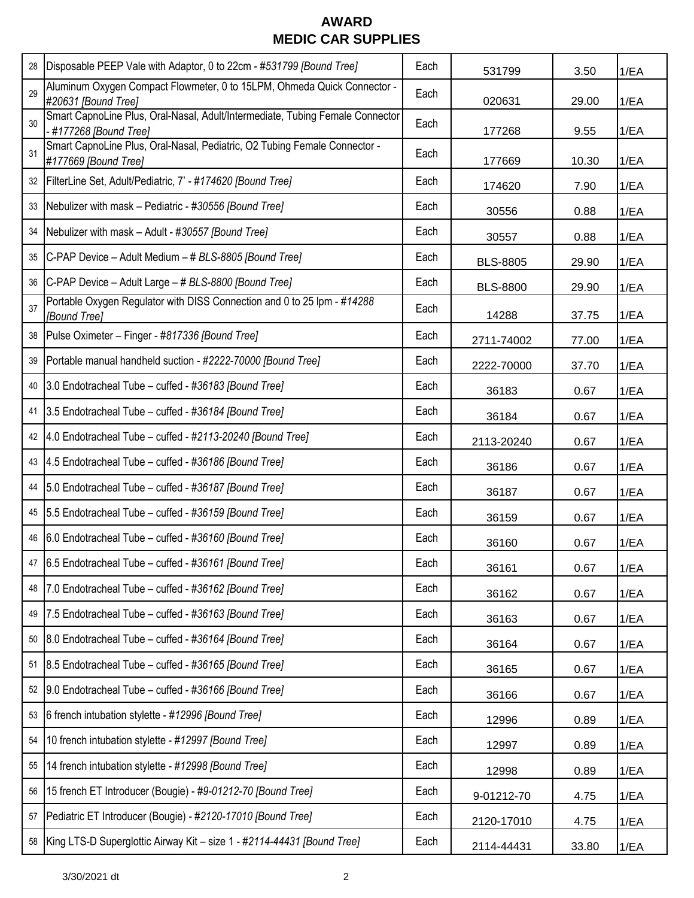| 28 | Disposable PEEP Vale with Adaptor, 0 to 22cm - #531799 [Bound Tree]                                    | Each | 531799          | 3.50  | 1/EA |
|----|--------------------------------------------------------------------------------------------------------|------|-----------------|-------|------|
| 29 | Aluminum Oxygen Compact Flowmeter, 0 to 15LPM, Ohmeda Quick Connector -<br>#20631 [Bound Tree]         | Each | 020631          | 29.00 | 1/EA |
| 30 | Smart CapnoLine Plus, Oral-Nasal, Adult/Intermediate, Tubing Female Connector<br>-#177268 [Bound Tree] | Each | 177268          | 9.55  | 1/EA |
| 31 | Smart CapnoLine Plus, Oral-Nasal, Pediatric, O2 Tubing Female Connector -<br>#177669 [Bound Tree]      | Each | 177669          | 10.30 | 1/EA |
|    | 32   FilterLine Set, Adult/Pediatric, 7' - #174620 [Bound Tree]                                        | Each | 174620          | 7.90  | 1/EA |
| 33 | Nebulizer with mask - Pediatric - #30556 [Bound Tree]                                                  | Each | 30556           | 0.88  | 1/EA |
|    | 34 Nebulizer with mask - Adult - #30557 [Bound Tree]                                                   | Each | 30557           | 0.88  | 1/EA |
|    | 35 C-PAP Device - Adult Medium - # BLS-8805 [Bound Tree]                                               | Each | <b>BLS-8805</b> | 29.90 | 1/EA |
|    | 36 C-PAP Device - Adult Large - # BLS-8800 [Bound Tree]                                                | Each | <b>BLS-8800</b> | 29.90 | 1/EA |
| 37 | Portable Oxygen Regulator with DISS Connection and 0 to 25 lpm - #14288<br><b>[Bound Tree]</b>         | Each | 14288           | 37.75 | 1/EA |
|    | 38   Pulse Oximeter - Finger - #817336 [Bound Tree]                                                    | Each | 2711-74002      | 77.00 | 1/EA |
| 39 | Portable manual handheld suction - #2222-70000 [Bound Tree]                                            | Each | 2222-70000      | 37.70 | 1/EA |
| 40 | [3.0 Endotracheal Tube – cuffed - #36183 [Bound Tree]                                                  | Each | 36183           | 0.67  | 1/EA |
| 41 | 3.5 Endotracheal Tube - cuffed - #36184 [Bound Tree]                                                   | Each | 36184           | 0.67  | 1/EA |
|    | 42 4.0 Endotracheal Tube - cuffed - #2113-20240 [Bound Tree]                                           | Each | 2113-20240      | 0.67  | 1/EA |
|    | 43 4.5 Endotracheal Tube - cuffed - #36186 [Bound Tree]                                                | Each | 36186           | 0.67  | 1/EA |
|    | 44 5.0 Endotracheal Tube - cuffed - #36187 [Bound Tree]                                                | Each | 36187           | 0.67  | 1/EA |
|    | 45 5.5 Endotracheal Tube - cuffed - #36159 [Bound Tree]                                                | Each | 36159           | 0.67  | 1/EA |
|    | 46 6.0 Endotracheal Tube - cuffed - #36160 [Bound Tree]                                                | Each | 36160           | 0.67  | 1/EA |
|    | 47 6.5 Endotracheal Tube - cuffed - #36161 [Bound Tree]                                                | Each | 36161           | 0.67  | 1/EA |
| 48 | 7.0 Endotracheal Tube - cuffed - #36162 [Bound Tree]                                                   | Each | 36162           | 0.67  | 1/EA |
| 49 | 7.5 Endotracheal Tube - cuffed - #36163 [Bound Tree]                                                   | Each | 36163           | 0.67  | 1/EA |
| 50 | 8.0 Endotracheal Tube - cuffed - #36164 [Bound Tree]                                                   | Each | 36164           | 0.67  | 1/EA |
| 51 | 8.5 Endotracheal Tube - cuffed - #36165 [Bound Tree]                                                   | Each | 36165           | 0.67  | 1/EA |
| 52 | [9.0 Endotracheal Tube - cuffed - #36166 [Bound Tree]                                                  | Each | 36166           | 0.67  | 1/EA |
| 53 | 6 french intubation stylette - #12996 [Bound Tree]                                                     | Each | 12996           | 0.89  | 1/EA |
| 54 | 10 french intubation stylette - #12997 [Bound Tree]                                                    | Each | 12997           | 0.89  | 1/EA |
| 55 | 14 french intubation stylette - #12998 [Bound Tree]                                                    | Each | 12998           | 0.89  | 1/EA |
| 56 | 15 french ET Introducer (Bougie) - #9-01212-70 [Bound Tree]                                            | Each | 9-01212-70      | 4.75  | 1/EA |
| 57 | Pediatric ET Introducer (Bougie) - #2120-17010 [Bound Tree]                                            | Each | 2120-17010      | 4.75  | 1/EA |
|    | 58   King LTS-D Superglottic Airway Kit - size 1 - #2114-44431 [Bound Tree]                            | Each | 2114-44431      | 33.80 | 1/EA |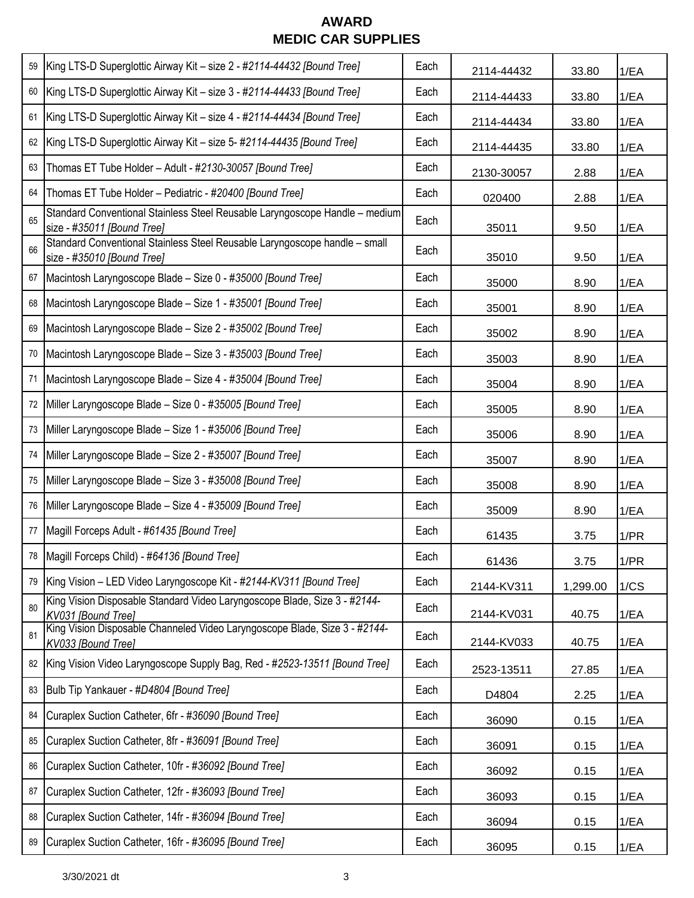| 59 | King LTS-D Superglottic Airway Kit - size 2 - #2114-44432 [Bound Tree]                                    | Each | 2114-44432 | 33.80    | 1/EA |
|----|-----------------------------------------------------------------------------------------------------------|------|------------|----------|------|
| 60 | King LTS-D Superglottic Airway Kit - size 3 - #2114-44433 [Bound Tree]                                    | Each | 2114-44433 | 33.80    | 1/EA |
| 61 | King LTS-D Superglottic Airway Kit - size 4 - #2114-44434 [Bound Tree]                                    | Each | 2114-44434 | 33.80    | 1/EA |
| 62 | King LTS-D Superglottic Airway Kit - size 5- #2114-44435 [Bound Tree]                                     | Each | 2114-44435 | 33.80    | 1/EA |
| 63 | Thomas ET Tube Holder - Adult - #2130-30057 [Bound Tree]                                                  | Each | 2130-30057 | 2.88     | 1/EA |
| 64 | Thomas ET Tube Holder - Pediatric - #20400 [Bound Tree]                                                   | Each | 020400     | 2.88     | 1/EA |
| 65 | Standard Conventional Stainless Steel Reusable Laryngoscope Handle - medium<br>size - #35011 [Bound Tree] | Each | 35011      | 9.50     | 1/EA |
| 66 | Standard Conventional Stainless Steel Reusable Laryngoscope handle - small<br>size - #35010 [Bound Tree]  | Each | 35010      | 9.50     | 1/EA |
| 67 | Macintosh Laryngoscope Blade - Size 0 - #35000 [Bound Tree]                                               | Each | 35000      | 8.90     | 1/EA |
| 68 | Macintosh Laryngoscope Blade - Size 1 - #35001 [Bound Tree]                                               | Each | 35001      | 8.90     | 1/EA |
| 69 | Macintosh Laryngoscope Blade - Size 2 - #35002 [Bound Tree]                                               | Each | 35002      | 8.90     | 1/EA |
| 70 | Macintosh Laryngoscope Blade - Size 3 - #35003 [Bound Tree]                                               | Each | 35003      | 8.90     | 1/EA |
| 71 | Macintosh Laryngoscope Blade - Size 4 - #35004 [Bound Tree]                                               | Each | 35004      | 8.90     | 1/EA |
| 72 | Miller Laryngoscope Blade - Size 0 - #35005 [Bound Tree]                                                  | Each | 35005      | 8.90     | 1/EA |
| 73 | Miller Laryngoscope Blade - Size 1 - #35006 [Bound Tree]                                                  | Each | 35006      | 8.90     | 1/EA |
| 74 | Miller Laryngoscope Blade - Size 2 - #35007 [Bound Tree]                                                  | Each | 35007      | 8.90     | 1/EA |
| 75 | Miller Laryngoscope Blade - Size 3 - #35008 [Bound Tree]                                                  | Each | 35008      | 8.90     | 1/EA |
| 76 | Miller Laryngoscope Blade - Size 4 - #35009 [Bound Tree]                                                  | Each | 35009      | 8.90     | 1/EA |
| 77 | Magill Forceps Adult - #61435 [Bound Tree]                                                                | Each | 61435      | 3.75     | 1/PR |
|    | 78   Magill Forceps Child) - #64136 [Bound Tree]                                                          | Each | 61436      | 3.75     | 1/PR |
| 79 | King Vision - LED Video Laryngoscope Kit - #2144-KV311 [Bound Tree]                                       | Each | 2144-KV311 | 1,299.00 | 1/CS |
| 80 | King Vision Disposable Standard Video Laryngoscope Blade, Size 3 - #2144-<br>KV031 [Bound Tree]           | Each | 2144-KV031 | 40.75    | 1/EA |
| 81 | King Vision Disposable Channeled Video Laryngoscope Blade, Size 3 - #2144-<br>KV033 [Bound Tree]          | Each | 2144-KV033 | 40.75    | 1/EA |
| 82 | King Vision Video Laryngoscope Supply Bag, Red - #2523-13511 [Bound Tree]                                 | Each | 2523-13511 | 27.85    | 1/EA |
| 83 | Bulb Tip Yankauer - #D4804 [Bound Tree]                                                                   | Each | D4804      | 2.25     | 1/EA |
| 84 | Curaplex Suction Catheter, 6fr - #36090 [Bound Tree]                                                      | Each | 36090      | 0.15     | 1/EA |
| 85 | Curaplex Suction Catheter, 8fr - #36091 [Bound Tree]                                                      | Each | 36091      | 0.15     | 1/EA |
| 86 | Curaplex Suction Catheter, 10fr - #36092 [Bound Tree]                                                     | Each | 36092      | 0.15     | 1/EA |
| 87 | Curaplex Suction Catheter, 12fr - #36093 [Bound Tree]                                                     | Each | 36093      | 0.15     | 1/EA |
| 88 | Curaplex Suction Catheter, 14fr - #36094 [Bound Tree]                                                     | Each | 36094      | 0.15     | 1/EA |
| 89 | Curaplex Suction Catheter, 16fr - #36095 [Bound Tree]                                                     | Each | 36095      | 0.15     | 1/EA |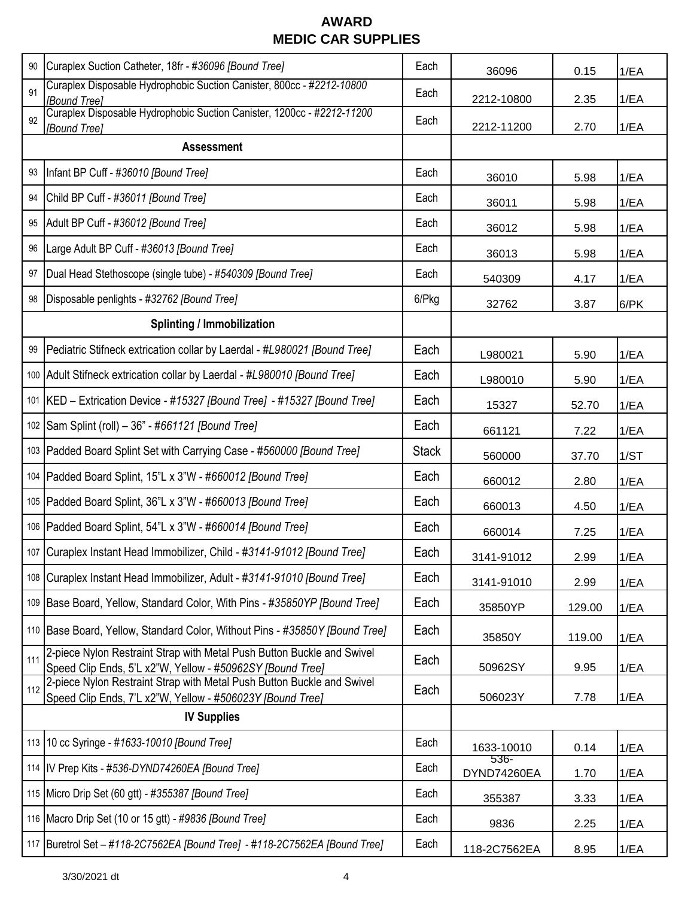| 90  | Curaplex Suction Catheter, 18fr - #36096 [Bound Tree]                                                                               | Each         | 36096               | 0.15   | 1/EA |
|-----|-------------------------------------------------------------------------------------------------------------------------------------|--------------|---------------------|--------|------|
| 91  | Curaplex Disposable Hydrophobic Suction Canister, 800cc - #2212-10800<br>[Bound Tree]                                               | Each         | 2212-10800          | 2.35   | 1/EA |
| 92  | Curaplex Disposable Hydrophobic Suction Canister, 1200cc - #2212-11200<br>[Bound Tree]                                              | Each         | 2212-11200          | 2.70   | 1/EA |
|     | <b>Assessment</b>                                                                                                                   |              |                     |        |      |
| 93  | Infant BP Cuff - #36010 [Bound Tree]                                                                                                | Each         | 36010               | 5.98   | 1/EA |
| 94  | Child BP Cuff - #36011 [Bound Tree]                                                                                                 | Each         | 36011               | 5.98   | 1/EA |
| 95  | Adult BP Cuff - #36012 [Bound Tree]                                                                                                 | Each         | 36012               | 5.98   | 1/EA |
| 96  | Large Adult BP Cuff - #36013 [Bound Tree]                                                                                           | Each         | 36013               | 5.98   | 1/EA |
| 97  | Dual Head Stethoscope (single tube) - #540309 [Bound Tree]                                                                          | Each         | 540309              | 4.17   | 1/EA |
| 98  | Disposable penlights - #32762 [Bound Tree]                                                                                          | 6/Pkg        | 32762               | 3.87   | 6/PK |
|     | <b>Splinting / Immobilization</b>                                                                                                   |              |                     |        |      |
| 99  | Pediatric Stifneck extrication collar by Laerdal - #L980021 [Bound Tree]                                                            | Each         | L980021             | 5.90   | 1/EA |
|     | 100 Adult Stifneck extrication collar by Laerdal - #L980010 [Bound Tree]                                                            | Each         | L980010             | 5.90   | 1/EA |
|     | 101   KED - Extrication Device - #15327 [Bound Tree] - #15327 [Bound Tree]                                                          | Each         | 15327               | 52.70  | 1/EA |
|     | 102 Sam Splint (roll) - 36" - #661121 [Bound Tree]                                                                                  | Each         | 661121              | 7.22   | 1/EA |
|     | 103   Padded Board Splint Set with Carrying Case - #560000 [Bound Tree]                                                             | <b>Stack</b> | 560000              | 37.70  | 1/ST |
|     | 104   Padded Board Splint, 15"L x 3"W - #660012 [Bound Tree]                                                                        | Each         | 660012              | 2.80   | 1/EA |
|     | 105   Padded Board Splint, 36"L x 3"W - #660013 [Bound Tree]                                                                        | Each         | 660013              | 4.50   | 1/EA |
|     | 106   Padded Board Splint, 54"L x 3"W - #660014 [Bound Tree]                                                                        | Each         | 660014              | 7.25   | 1/EA |
|     | 107 Curaplex Instant Head Immobilizer, Child - #3141-91012 [Bound Tree]                                                             | Each         | 3141-91012          | 2.99   | 1/EA |
|     | 108 Curaplex Instant Head Immobilizer, Adult - #3141-91010 [Bound Tree]                                                             | Each         | 3141-91010          | 2.99   | 1/EA |
|     | 109 Base Board, Yellow, Standard Color, With Pins - #35850YP [Bound Tree]                                                           | Each         | 35850YP             | 129.00 | 1/EA |
|     | 110 Base Board, Yellow, Standard Color, Without Pins - #35850Y [Bound Tree]                                                         | Each         | 35850Y              | 119.00 | 1/EA |
| 111 | 2-piece Nylon Restraint Strap with Metal Push Button Buckle and Swivel<br>Speed Clip Ends, 5'L x2"W, Yellow - #50962SY [Bound Tree] | Each         | 50962SY             | 9.95   | 1/EA |
| 112 | 2-piece Nylon Restraint Strap with Metal Push Button Buckle and Swivel<br>Speed Clip Ends, 7'L x2"W, Yellow - #506023Y [Bound Tree] | Each         | 506023Y             | 7.78   | 1/EA |
|     | <b>IV Supplies</b>                                                                                                                  |              |                     |        |      |
|     | 113 10 cc Syringe - #1633-10010 [Bound Tree]                                                                                        | Each         | 1633-10010          | 0.14   | 1/EA |
|     | 114 IV Prep Kits - #536-DYND74260EA [Bound Tree]                                                                                    | Each         | 536-<br>DYND74260EA | 1.70   | 1/EA |
|     | 115 Micro Drip Set (60 gtt) - #355387 [Bound Tree]                                                                                  | Each         | 355387              | 3.33   | 1/EA |
|     | 116 Macro Drip Set (10 or 15 gtt) - #9836 [Bound Tree]                                                                              | Each         | 9836                | 2.25   | 1/EA |
|     | 117 Buretrol Set - #118-2C7562EA [Bound Tree] - #118-2C7562EA [Bound Tree]                                                          | Each         | 118-2C7562EA        | 8.95   | 1/EA |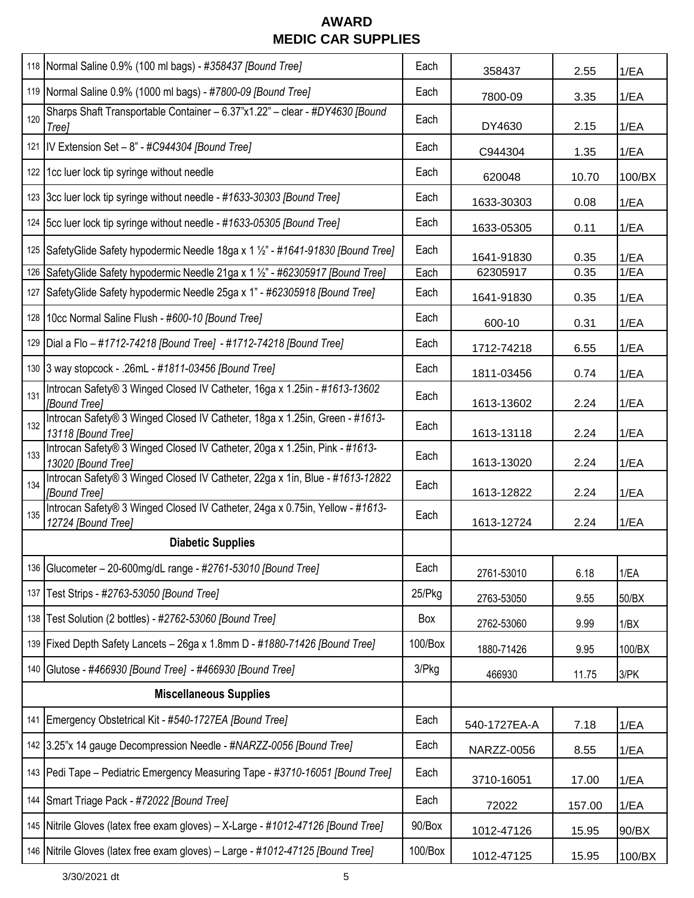|                          | 118   Normal Saline 0.9% (100 ml bags) - #358437 [Bound Tree]                                      | Each    | 358437       | 2.55   | 1/EA   |
|--------------------------|----------------------------------------------------------------------------------------------------|---------|--------------|--------|--------|
|                          | 119   Normal Saline 0.9% (1000 ml bags) - #7800-09 [Bound Tree]                                    | Each    | 7800-09      | 3.35   | 1/EA   |
| 120                      | Sharps Shaft Transportable Container - 6.37"x1.22" - clear - #DY4630 [Bound<br>Tree]               | Each    | DY4630       | 2.15   | 1/EA   |
|                          | 121  IV Extension Set - 8" - #C944304 [Bound Tree]                                                 | Each    | C944304      | 1.35   | 1/EA   |
| 122                      | 1cc luer lock tip syringe without needle                                                           | Each    | 620048       | 10.70  | 100/BX |
|                          | 123 3cc luer lock tip syringe without needle - #1633-30303 [Bound Tree]                            | Each    | 1633-30303   | 0.08   | 1/EA   |
| 124                      | [5cc luer lock tip syringe without needle - #1633-05305 [Bound Tree]                               | Each    | 1633-05305   | 0.11   | 1/EA   |
|                          | 125 Safety Glide Safety hypodermic Needle 18ga x 1 1/2" - #1641-91830 [Bound Tree]                 | Each    | 1641-91830   | 0.35   | 1/EA   |
| 126                      | SafetyGlide Safety hypodermic Needle 21ga x 1 1/2" - #62305917 [Bound Tree]                        | Each    | 62305917     | 0.35   | 1/EA   |
| 127                      | SafetyGlide Safety hypodermic Needle 25ga x 1" - #62305918 [Bound Tree]                            | Each    | 1641-91830   | 0.35   | 1/EA   |
| 128                      | 10cc Normal Saline Flush - #600-10 [Bound Tree]                                                    | Each    | 600-10       | 0.31   | 1/EA   |
| 129                      | Dial a Flo - #1712-74218 [Bound Tree] - #1712-74218 [Bound Tree]                                   | Each    | 1712-74218   | 6.55   | 1/EA   |
|                          | 130 3 way stopcock - .26mL - #1811-03456 [Bound Tree]                                              | Each    | 1811-03456   | 0.74   | 1/EA   |
| 131                      | Introcan Safety® 3 Winged Closed IV Catheter, 16ga x 1.25in - #1613-13602<br>[Bound Tree]          | Each    | 1613-13602   | 2.24   | 1/EA   |
| 132                      | Introcan Safety® 3 Winged Closed IV Catheter, 18ga x 1.25in, Green - #1613-<br>13118 [Bound Tree]  | Each    | 1613-13118   | 2.24   | 1/EA   |
| 133                      | Introcan Safety® 3 Winged Closed IV Catheter, 20ga x 1.25in, Pink - #1613-<br>13020 [Bound Tree]   | Each    | 1613-13020   | 2.24   | 1/EA   |
| 134                      | Introcan Safety® 3 Winged Closed IV Catheter, 22ga x 1in, Blue - #1613-12822<br>[Bound Tree]       | Each    | 1613-12822   | 2.24   | 1/EA   |
| 135                      | Introcan Safety® 3 Winged Closed IV Catheter, 24ga x 0.75in, Yellow - #1613-<br>12724 [Bound Tree] | Each    | 1613-12724   | 2.24   | 1/EA   |
| <b>Diabetic Supplies</b> |                                                                                                    |         |              |        |        |
|                          | 136 Glucometer - 20-600mg/dL range - #2761-53010 [Bound Tree]                                      | Each    | 2761-53010   | 6.18   | 1/EA   |
| 137                      | Test Strips - #2763-53050 [Bound Tree]                                                             | 25/Pkg  | 2763-53050   | 9.55   | 50/BX  |
| 138                      | Test Solution (2 bottles) - #2762-53060 [Bound Tree]                                               | Box     | 2762-53060   | 9.99   | 1/BX   |
|                          | 139 Fixed Depth Safety Lancets - 26ga x 1.8mm D - #1880-71426 [Bound Tree]                         | 100/Box | 1880-71426   | 9.95   | 100/BX |
| 140                      | Glutose - #466930 [Bound Tree] - #466930 [Bound Tree]                                              | 3/Pkg   | 466930       | 11.75  | 3/PK   |
|                          | <b>Miscellaneous Supplies</b>                                                                      |         |              |        |        |
| 141                      | Emergency Obstetrical Kit - #540-1727EA [Bound Tree]                                               | Each    | 540-1727EA-A | 7.18   | 1/EA   |
|                          | 142 3.25"x 14 gauge Decompression Needle - #NARZZ-0056 [Bound Tree]                                | Each    | NARZZ-0056   | 8.55   | 1/EA   |
| 143                      | Pedi Tape - Pediatric Emergency Measuring Tape - #3710-16051 [Bound Tree]                          | Each    | 3710-16051   | 17.00  | 1/EA   |
| 144                      | Smart Triage Pack - #72022 [Bound Tree]                                                            | Each    | 72022        | 157.00 | 1/EA   |
| 145                      | Nitrile Gloves (latex free exam gloves) - X-Large - #1012-47126 [Bound Tree]                       | 90/Box  | 1012-47126   | 15.95  | 90/BX  |
|                          | 146 Nitrile Gloves (latex free exam gloves) - Large - #1012-47125 [Bound Tree]                     | 100/Box | 1012-47125   | 15.95  | 100/BX |